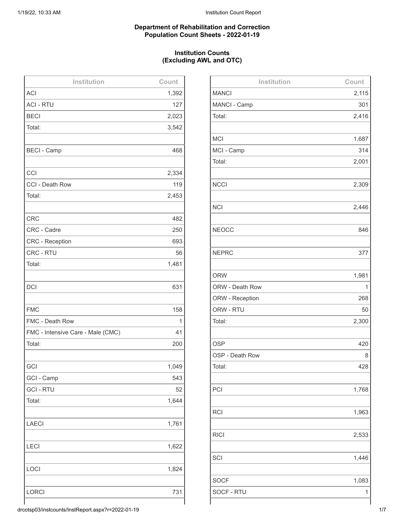#### **Department of Rehabilitation and Correction Population Count Sheets - 2022-01-19**

## **Institution Counts (Excluding AWL and OTC)**

| Institution                       | Count |
|-----------------------------------|-------|
| <b>ACI</b>                        | 1,392 |
| <b>ACI - RTU</b>                  | 127   |
| <b>BECI</b>                       | 2,023 |
| Total:                            | 3,542 |
|                                   |       |
| <b>BECI - Camp</b>                | 468   |
|                                   |       |
| CCI                               | 2,334 |
| CCI - Death Row                   | 119   |
| Total:                            | 2,453 |
|                                   |       |
| <b>CRC</b>                        | 482   |
| CRC - Cadre                       | 250   |
| <b>CRC</b> - Reception            | 693   |
| CRC - RTU                         | 56    |
| Total:                            | 1,481 |
|                                   |       |
| <b>DCI</b>                        | 631   |
|                                   |       |
| <b>FMC</b>                        | 158   |
| FMC - Death Row                   | 1     |
| FMC - Intensive Care - Male (CMC) | 41    |
| Total:                            | 200   |
|                                   |       |
| GCI                               | 1,049 |
| GCI - Camp                        | 543   |
| <b>GCI-RTU</b>                    | 52    |
| Total:                            | 1,644 |
|                                   |       |
| <b>LAECI</b>                      | 1,761 |
|                                   |       |
| <b>LECI</b>                       | 1,622 |
|                                   |       |
| LOCI                              | 1,824 |
|                                   |       |
| <b>LORCI</b>                      | 731   |
|                                   |       |

| Institution     | Count |
|-----------------|-------|
| <b>MANCI</b>    | 2,115 |
| MANCI - Camp    | 301   |
| Total:          | 2,416 |
|                 |       |
| <b>MCI</b>      | 1,687 |
| MCI - Camp      | 314   |
| Total:          | 2,001 |
|                 |       |
| <b>NCCI</b>     | 2,309 |
|                 |       |
| <b>NCI</b>      | 2,446 |
|                 |       |
| <b>NEOCC</b>    | 846   |
|                 |       |
| <b>NEPRC</b>    | 377   |
|                 |       |
| <b>ORW</b>      | 1,981 |
| ORW - Death Row | 1     |
| ORW - Reception | 268   |
| ORW - RTU       | 50    |
| Total:          | 2,300 |
|                 |       |
| <b>OSP</b>      | 420   |
| OSP - Death Row | 8     |
| Total:          | 428   |
|                 |       |
| PCI             | 1,768 |
|                 |       |
| <b>RCI</b>      | 1,963 |
|                 |       |
| <b>RICI</b>     | 2,533 |
|                 |       |
| SCI             | 1,446 |
|                 |       |
| <b>SOCF</b>     | 1,083 |
| SOCF - RTU      | 1     |
|                 |       |

drcotsp03/instcounts/InstReport.aspx?r=2022-01-19 1/7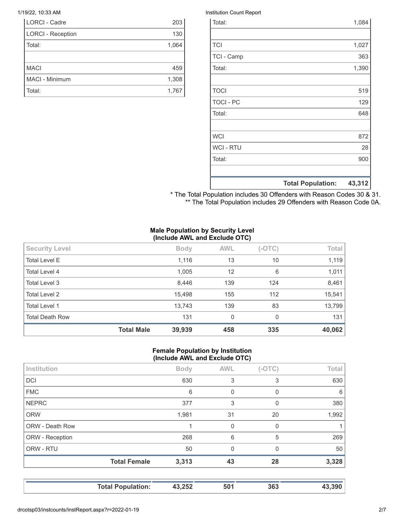| <b>LORCI - Cadre</b>     | 203   |
|--------------------------|-------|
| <b>LORCI - Reception</b> | 130   |
| Total:                   | 1,064 |
|                          |       |
| <b>MACI</b>              | 459   |
| MACI - Minimum           | 1,308 |
| Total:                   | 1,767 |

#### 1/19/22, 10:33 AM Institution Count Report

|                  | <b>Total Population:</b> | 43,312 |
|------------------|--------------------------|--------|
|                  |                          |        |
| Total:           |                          | 900    |
| <b>WCI - RTU</b> |                          | 28     |
| <b>WCI</b>       |                          | 872    |
|                  |                          |        |
| Total:           |                          | 648    |
| <b>TOCI - PC</b> |                          | 129    |
| <b>TOCI</b>      |                          | 519    |
|                  |                          |        |
| Total:           |                          | 1,390  |
| TCI - Camp       |                          | 363    |
| <b>TCI</b>       |                          | 1,027  |
|                  |                          |        |
| Total:           |                          | 1,084  |

\* The Total Population includes 30 Offenders with Reason Codes 30 & 31. \*\* The Total Population includes 29 Offenders with Reason Code 0A.

### **Male Population by Security Level (Include AWL and Exclude OTC)**

| Total Level 4<br>1,005<br>12<br>6<br>8,446<br>139<br>Total Level 3<br>124<br><b>Total Level 2</b><br>15,498<br>112<br>155<br><b>Total Level 1</b><br>13,743<br>139<br>83<br><b>Total Death Row</b><br>131<br>$\mathbf{0}$<br>$\Omega$ | 15,541<br>13,799<br>131 |    |    |       |                      |
|---------------------------------------------------------------------------------------------------------------------------------------------------------------------------------------------------------------------------------------|-------------------------|----|----|-------|----------------------|
|                                                                                                                                                                                                                                       |                         |    |    |       |                      |
|                                                                                                                                                                                                                                       |                         |    |    |       |                      |
|                                                                                                                                                                                                                                       |                         |    |    |       |                      |
|                                                                                                                                                                                                                                       | 8,461                   |    |    |       |                      |
|                                                                                                                                                                                                                                       | 1,011                   |    |    |       |                      |
|                                                                                                                                                                                                                                       | 1,119                   | 10 | 13 | 1,116 | <b>Total Level E</b> |
| <b>AWL</b><br>$(-OTC)$<br><b>Security Level</b><br><b>Body</b>                                                                                                                                                                        | Total                   |    |    |       |                      |

### **Female Population by Institution (Include AWL and Exclude OTC)**

| Institution            |                     | <b>Body</b> | <b>AWL</b> | $(-OTC)$ | Total |
|------------------------|---------------------|-------------|------------|----------|-------|
| <b>DCI</b>             |                     | 630         | 3          | 3        | 630   |
| <b>FMC</b>             |                     | 6           | 0          | 0        | 6     |
| <b>NEPRC</b>           |                     | 377         | 3          | 0        | 380   |
| <b>ORW</b>             |                     | 1,981       | 31         | 20       | 1,992 |
| <b>ORW - Death Row</b> |                     |             | $\Omega$   | 0        |       |
| ORW - Reception        |                     | 268         | 6          | 5        | 269   |
| ORW - RTU              |                     | 50          | $\Omega$   | $\Omega$ | 50    |
|                        | <b>Total Female</b> | 3,313       | 43         | 28       | 3,328 |
|                        |                     |             |            |          |       |

| 43,390<br>43,252<br>501<br><b>Total Population:</b><br>363 |  |
|------------------------------------------------------------|--|
|------------------------------------------------------------|--|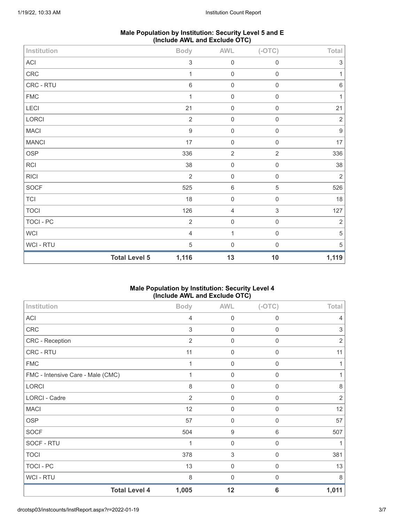| Male Population by Institution: Security Level 5 and E |  |
|--------------------------------------------------------|--|
| (Include AWL and Exclude OTC)                          |  |

| Institution  |                      | <b>Body</b>               | AWL            | $(-OTC)$                  | Total            |
|--------------|----------------------|---------------------------|----------------|---------------------------|------------------|
| ACI          |                      | $\ensuremath{\mathsf{3}}$ | $\mathbf 0$    | $\mathsf{O}\xspace$       | $\sqrt{3}$       |
| CRC          |                      | 1                         | $\mathbf 0$    | 0                         | $\mathbf{1}$     |
| CRC - RTU    |                      | $\,6\,$                   | $\mathbf 0$    | $\mathsf{O}\xspace$       | $\,6\,$          |
| <b>FMC</b>   |                      | 1                         | $\mathbf 0$    | $\mathsf 0$               | $\mathbf{1}$     |
| LECI         |                      | 21                        | $\mathbf 0$    | $\mathsf{O}\xspace$       | 21               |
| LORCI        |                      | $\sqrt{2}$                | $\mathbf 0$    | $\mathsf{O}\xspace$       | $\sqrt{2}$       |
| <b>MACI</b>  |                      | $\boldsymbol{9}$          | $\mathbf 0$    | $\,0\,$                   | $\boldsymbol{9}$ |
| <b>MANCI</b> |                      | 17                        | $\mathbf 0$    | $\,0\,$                   | $17\,$           |
| <b>OSP</b>   |                      | 336                       | $\sqrt{2}$     | $\mathbf{2}$              | 336              |
| RCI          |                      | 38                        | $\mathbf 0$    | $\mathsf 0$               | 38               |
| <b>RICI</b>  |                      | $\overline{2}$            | $\mathbf 0$    | $\mathsf{O}\xspace$       | $\overline{2}$   |
| SOCF         |                      | 525                       | $6\,$          | $\mathbf 5$               | 526              |
| TCI          |                      | 18                        | $\mathbf 0$    | 0                         | 18               |
| <b>TOCI</b>  |                      | 126                       | $\overline{4}$ | $\ensuremath{\mathsf{3}}$ | 127              |
| TOCI - PC    |                      | $\overline{2}$            | $\mathbf 0$    | $\mathsf{O}\xspace$       | $\overline{2}$   |
| WCI          |                      | $\overline{4}$            | $\mathbf{1}$   | $\mathsf{O}\xspace$       | $\,$ 5 $\,$      |
| WCI - RTU    |                      | 5                         | $\mathbf 0$    | $\mathsf{O}\xspace$       | 5                |
|              | <b>Total Level 5</b> | 1,116                     | 13             | 10                        | 1,119            |

# **Male Population by Institution: Security Level 4 (Include AWL and Exclude OTC)**

| Institution                       | <b>Body</b>    | <b>AWL</b>  | $(-OTC)$         | Total          |
|-----------------------------------|----------------|-------------|------------------|----------------|
| ACI                               | 4              | 0           | 0                | 4              |
| CRC                               | 3              | $\mathbf 0$ | 0                | 3              |
| CRC - Reception                   | $\overline{2}$ | 0           | 0                | $\overline{2}$ |
| CRC - RTU                         | 11             | 0           | $\mathbf 0$      | 11             |
| <b>FMC</b>                        | 1              | $\mathbf 0$ | 0                |                |
| FMC - Intensive Care - Male (CMC) | 1              | $\mathbf 0$ | $\mathbf 0$      |                |
| LORCI                             | 8              | $\mathbf 0$ | $\mathbf 0$      | 8              |
| LORCI - Cadre                     | $\overline{2}$ | 0           | 0                | $\overline{2}$ |
| <b>MACI</b>                       | 12             | 0           | 0                | 12             |
| <b>OSP</b>                        | 57             | $\mathbf 0$ | $\boldsymbol{0}$ | 57             |
| <b>SOCF</b>                       | 504            | 9           | 6                | 507            |
| SOCF - RTU                        | 1              | $\mathbf 0$ | $\mathbf 0$      |                |
| <b>TOCI</b>                       | 378            | 3           | $\mathbf 0$      | 381            |
| <b>TOCI - PC</b>                  | 13             | 0           | 0                | 13             |
| WCI - RTU                         | 8              | 0           | 0                | 8              |
| <b>Total Level 4</b>              | 1,005          | 12          | 6                | 1,011          |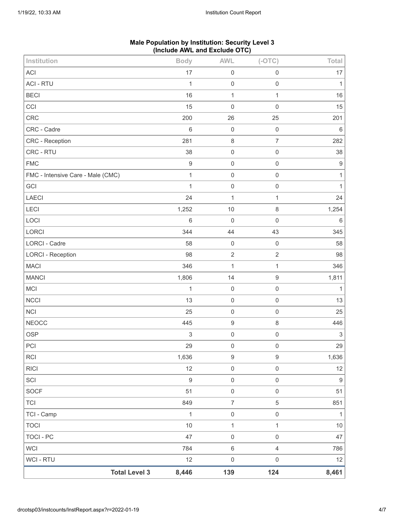| Institution                       | <b>Body</b>      | <b>AWL</b>          | $(-OTC)$            | Total                     |
|-----------------------------------|------------------|---------------------|---------------------|---------------------------|
| <b>ACI</b>                        | 17               | $\boldsymbol{0}$    | $\boldsymbol{0}$    | 17                        |
| <b>ACI - RTU</b>                  | $\mathbf{1}$     | $\boldsymbol{0}$    | $\mathbf 0$         | $\mathbf{1}$              |
| <b>BECI</b>                       | 16               | $\mathbf 1$         | $\mathbf{1}$        | 16                        |
| CCI                               | 15               | $\mathbf 0$         | $\mathsf{O}\xspace$ | 15                        |
| <b>CRC</b>                        | 200              | 26                  | 25                  | 201                       |
| CRC - Cadre                       | 6                | $\mathbf 0$         | $\mathbf 0$         | $\,6\,$                   |
| CRC - Reception                   | 281              | $\,8\,$             | $\overline{7}$      | 282                       |
| CRC - RTU                         | 38               | $\boldsymbol{0}$    | $\mathsf 0$         | 38                        |
| <b>FMC</b>                        | $\boldsymbol{9}$ | $\mathbf 0$         | $\mathbf 0$         | $\boldsymbol{9}$          |
| FMC - Intensive Care - Male (CMC) | $\mathbf{1}$     | $\boldsymbol{0}$    | $\mathsf{O}\xspace$ | $\mathbf{1}$              |
| GCI                               | $\mathbf{1}$     | $\mathbf 0$         | $\mathsf 0$         | $\mathbf{1}$              |
| LAECI                             | 24               | $\mathbf{1}$        | $\mathbf{1}$        | 24                        |
| LECI                              | 1,252            | 10                  | $\,8\,$             | 1,254                     |
| LOCI                              | 6                | $\mathbf 0$         | $\mathbf 0$         | $\,6\,$                   |
| LORCI                             | 344              | 44                  | 43                  | 345                       |
| <b>LORCI - Cadre</b>              | 58               | $\mathsf{O}\xspace$ | $\mathbf 0$         | 58                        |
| <b>LORCI - Reception</b>          | 98               | $\sqrt{2}$          | $\sqrt{2}$          | 98                        |
| <b>MACI</b>                       | 346              | $\mathbf{1}$        | $\mathbf{1}$        | 346                       |
| <b>MANCI</b>                      | 1,806            | 14                  | $\boldsymbol{9}$    | 1,811                     |
| MCI                               | $\mathbf{1}$     | $\mathbf 0$         | $\,0\,$             | $\mathbf{1}$              |
| <b>NCCI</b>                       | 13               | $\boldsymbol{0}$    | $\mathsf 0$         | 13                        |
| NCI                               | 25               | $\mathbf 0$         | $\mathsf 0$         | 25                        |
| <b>NEOCC</b>                      | 445              | $\boldsymbol{9}$    | $\,8\,$             | 446                       |
| <b>OSP</b>                        | 3                | $\boldsymbol{0}$    | $\mathsf{O}\xspace$ | $\ensuremath{\mathsf{3}}$ |
| PCI                               | 29               | $\mathbf 0$         | $\mathsf{O}\xspace$ | 29                        |
| RCI                               | 1,636            | $\boldsymbol{9}$    | $\boldsymbol{9}$    | 1,636                     |
| <b>RICI</b>                       | 12               | $\mathsf{O}\xspace$ | $\mathsf{O}\xspace$ | 12                        |
| SCI                               | $\boldsymbol{9}$ | $\mathsf 0$         | $\mathsf{O}\xspace$ | $\boldsymbol{9}$          |
| SOCF                              | 51               | $\mathsf 0$         | $\,0\,$             | 51                        |
| <b>TCI</b>                        | 849              | $\boldsymbol{7}$    | 5                   | 851                       |
| TCI - Camp                        | $\mathbf{1}$     | $\mathsf{O}\xspace$ | $\,0\,$             | $\mathbf{1}$              |
| <b>TOCI</b>                       | $10$             | $\mathbf{1}$        | 1                   | $10$                      |
| <b>TOCI - PC</b>                  | 47               | $\mathsf{O}\xspace$ | $\mathsf{O}\xspace$ | 47                        |
| <b>WCI</b>                        | 784              | $\,6\,$             | $\overline{4}$      | 786                       |
| <b>WCI - RTU</b>                  | 12               | $\mathsf{O}\xspace$ | $\mathsf{O}\xspace$ | 12                        |
| <b>Total Level 3</b>              | 8,446            | 139                 | 124                 | 8,461                     |

# **Male Population by Institution: Security Level 3 (Include AWL and Exclude OTC)**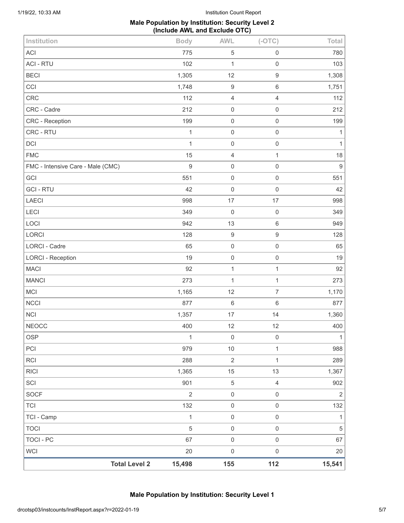### **Male Population by Institution: Security Level 2 (Include AWL and Exclude OTC)**

| Institution                       | <b>Body</b>                    | <b>AWL</b>          | $(-OTC)$            | Total          |
|-----------------------------------|--------------------------------|---------------------|---------------------|----------------|
| <b>ACI</b>                        | 775                            | $\,$ 5 $\,$         | $\mathsf 0$         | 780            |
| <b>ACI - RTU</b>                  | 102                            | $\mathbf 1$         | $\mathsf 0$         | 103            |
| <b>BECI</b>                       | 1,305                          | 12                  | $\boldsymbol{9}$    | 1,308          |
| CCI                               | 1,748                          | $\boldsymbol{9}$    | 6                   | 1,751          |
| CRC                               | 112                            | $\overline{4}$      | $\overline{4}$      | 112            |
| CRC - Cadre                       | 212                            | $\mathbf 0$         | $\mathsf 0$         | 212            |
| <b>CRC</b> - Reception            | 199                            | $\mathsf{O}\xspace$ | 0                   | 199            |
| CRC - RTU                         | $\mathbf{1}$                   | $\mathbf 0$         | $\mathsf{O}\xspace$ | 1              |
| DCI                               | 1                              | $\mathbf 0$         | $\mathsf 0$         | $\mathbf{1}$   |
| <b>FMC</b>                        | 15                             | $\overline{4}$      | $\mathbf{1}$        | 18             |
| FMC - Intensive Care - Male (CMC) | $\boldsymbol{9}$               | $\mathbf 0$         | $\mathsf 0$         | $\overline{9}$ |
| GCI                               | 551                            | $\mathbf 0$         | $\mathsf{O}\xspace$ | 551            |
| <b>GCI-RTU</b>                    | 42                             | $\mathbf 0$         | $\mathbf 0$         | 42             |
| <b>LAECI</b>                      | 998                            | 17                  | 17                  | 998            |
| LECI                              | 349                            | $\mathbf 0$         | $\mathbf 0$         | 349            |
| LOCI                              | 942                            | 13                  | $\,6\,$             | 949            |
| LORCI                             | 128                            | $\boldsymbol{9}$    | $\boldsymbol{9}$    | 128            |
| LORCI - Cadre                     | 65                             | $\mathbf 0$         | $\mathbf 0$         | 65             |
| <b>LORCI - Reception</b>          | 19                             | $\mathsf{O}\xspace$ | $\mathsf 0$         | 19             |
| <b>MACI</b>                       | 92                             | $\mathbf{1}$        | $\mathbf{1}$        | 92             |
| <b>MANCI</b>                      | 273                            | 1                   | $\mathbf{1}$        | 273            |
| <b>MCI</b>                        | 1,165                          | 12                  | $\overline{7}$      | 1,170          |
| NCCI                              | 877                            | $\,6\,$             | $\,6\,$             | 877            |
| <b>NCI</b>                        | 1,357                          | $17$                | 14                  | 1,360          |
| <b>NEOCC</b>                      | 400                            | 12                  | 12                  | 400            |
| <b>OSP</b>                        | $\mathbf{1}$                   | $\mathbf 0$         | $\mathsf{O}\xspace$ | 1              |
| PCI                               | 979                            | 10                  | $\mathbf{1}$        | 988            |
| <b>RCI</b>                        | 288                            | $\sqrt{2}$          | $\mathbf{1}$        | 289            |
| <b>RICI</b>                       | 1,365                          | 15                  | 13                  | 1,367          |
| SCI                               | 901                            | $\,$ 5 $\,$         | $\overline{4}$      | 902            |
| <b>SOCF</b>                       | $\overline{2}$                 | $\mathbf 0$         | $\mathsf{O}\xspace$ | $\overline{2}$ |
| <b>TCI</b>                        | 132                            | $\mathbf 0$         | $\mathsf{O}\xspace$ | 132            |
| TCI - Camp                        | $\mathbf{1}$                   | $\mathbf 0$         | $\mathsf{O}\xspace$ | 1              |
| <b>TOCI</b>                       | $\mathbf 5$                    | $\mathbf 0$         | $\mathsf{O}\xspace$ | $\sqrt{5}$     |
| <b>TOCI - PC</b>                  | 67                             | $\mathbf 0$         | $\,0\,$             | 67             |
| <b>WCI</b>                        | 20                             | $\mathbf 0$         | $\,0\,$             | 20             |
|                                   | <b>Total Level 2</b><br>15,498 | 155                 | 112                 | 15,541         |

**Male Population by Institution: Security Level 1**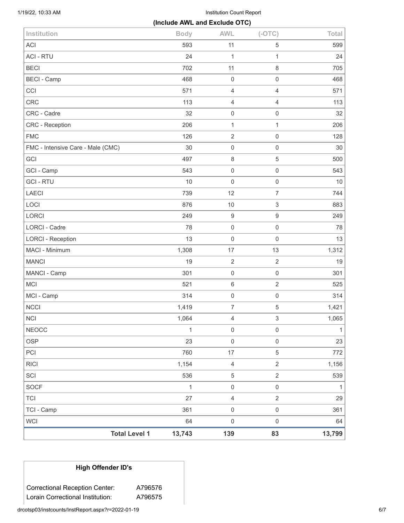1/19/22, 10:33 AM Institution Count Report

| (Include AWL and Exclude OTC)     |              |                     |                     |              |
|-----------------------------------|--------------|---------------------|---------------------|--------------|
| Institution                       | <b>Body</b>  | <b>AWL</b>          | $(-OTC)$            | Total        |
| <b>ACI</b>                        | 593          | 11                  | 5                   | 599          |
| <b>ACI - RTU</b>                  | 24           | $\mathbf{1}$        | $\mathbf{1}$        | 24           |
| <b>BECI</b>                       | 702          | 11                  | 8                   | 705          |
| <b>BECI - Camp</b>                | 468          | $\mathbf 0$         | $\mathsf{O}\xspace$ | 468          |
| CCI                               | 571          | $\overline{4}$      | $\overline{4}$      | 571          |
| <b>CRC</b>                        | 113          | $\overline{4}$      | $\overline{4}$      | 113          |
| CRC - Cadre                       | 32           | $\mathsf{O}\xspace$ | $\mathsf{O}\xspace$ | 32           |
| CRC - Reception                   | 206          | $\mathbf{1}$        | $\mathbf{1}$        | 206          |
| <b>FMC</b>                        | 126          | $\overline{2}$      | $\mathsf{O}\xspace$ | 128          |
| FMC - Intensive Care - Male (CMC) | 30           | $\mathsf{O}\xspace$ | 0                   | 30           |
| GCI                               | 497          | $\,8\,$             | 5                   | 500          |
| GCI - Camp                        | 543          | $\mathsf{O}\xspace$ | $\mathsf{O}\xspace$ | 543          |
| <b>GCI-RTU</b>                    | 10           | $\mathsf{O}\xspace$ | $\mathsf{O}\xspace$ | 10           |
| <b>LAECI</b>                      | 739          | 12                  | $\overline{7}$      | 744          |
| LOCI                              | 876          | $10$                | 3                   | 883          |
| LORCI                             | 249          | $\boldsymbol{9}$    | $\boldsymbol{9}$    | 249          |
| <b>LORCI - Cadre</b>              | 78           | $\mathsf{O}\xspace$ | $\mathsf{O}\xspace$ | 78           |
| <b>LORCI - Reception</b>          | 13           | $\mathsf{O}\xspace$ | $\mathsf{O}\xspace$ | 13           |
| MACI - Minimum                    | 1,308        | 17                  | 13                  | 1,312        |
| <b>MANCI</b>                      | 19           | $\overline{2}$      | $\overline{2}$      | 19           |
| MANCI - Camp                      | 301          | $\mathsf{O}\xspace$ | $\mathsf{O}\xspace$ | 301          |
| <b>MCI</b>                        | 521          | $\,6\,$             | $\overline{2}$      | 525          |
| MCI - Camp                        | 314          | $\mathbf 0$         | $\mathsf{O}\xspace$ | 314          |
| <b>NCCI</b>                       | 1,419        | $\overline{7}$      | 5                   | 1,421        |
| <b>NCI</b>                        | 1,064        | $\overline{4}$      | 3                   | 1,065        |
| <b>NEOCC</b>                      | $\mathbf{1}$ | $\mathsf{O}\xspace$ | $\mathsf{O}\xspace$ | $\mathbf{1}$ |
| <b>OSP</b>                        | 23           | $\mathsf{O}\xspace$ | $\mathsf{O}\xspace$ | 23           |
| PCI                               | 760          | 17                  | $\mathbf 5$         | 772          |
| <b>RICI</b>                       | 1,154        | $\overline{4}$      | $\overline{2}$      | 1,156        |
| SCI                               | 536          | $\mathbf 5$         | $\overline{2}$      | 539          |
| <b>SOCF</b>                       | $\mathbf{1}$ | $\mathsf 0$         | $\mathsf{O}\xspace$ | 1            |
| <b>TCI</b>                        | 27           | $\overline{4}$      | $\overline{2}$      | 29           |
| TCI - Camp                        | 361          | $\,0\,$             | $\,0\,$             | 361          |
| <b>WCI</b>                        | 64           | $\mathsf 0$         | $\mathsf{O}\xspace$ | 64           |
| <b>Total Level 1</b>              | 13,743       | 139                 | 83                  | 13,799       |

# **High Offender ID's**

Correctional Reception Center: A796576 Lorain Correctional Institution: A796575